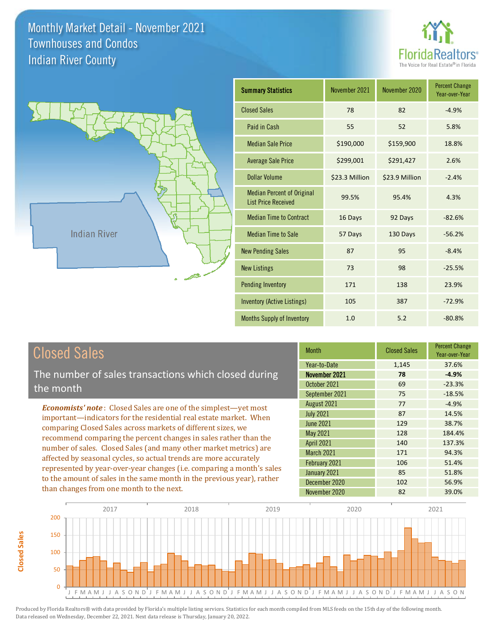



| <b>Summary Statistics</b>                                       | November 2021  | November 2020  | <b>Percent Change</b><br>Year-over-Year |
|-----------------------------------------------------------------|----------------|----------------|-----------------------------------------|
| <b>Closed Sales</b>                                             | 78             | 82             | $-4.9%$                                 |
| Paid in Cash                                                    | 55             | 52             | 5.8%                                    |
| <b>Median Sale Price</b>                                        | \$190,000      | \$159,900      | 18.8%                                   |
| <b>Average Sale Price</b>                                       | \$299,001      | \$291,427      | 2.6%                                    |
| Dollar Volume                                                   | \$23.3 Million | \$23.9 Million | $-2.4%$                                 |
| <b>Median Percent of Original</b><br><b>List Price Received</b> | 99.5%          | 95.4%          | 4.3%                                    |
| <b>Median Time to Contract</b>                                  | 16 Days        | 92 Days        | $-82.6%$                                |
| <b>Median Time to Sale</b>                                      | 57 Days        | 130 Days       | $-56.2%$                                |
| <b>New Pending Sales</b>                                        | 87             | 95             | $-8.4%$                                 |
| <b>New Listings</b>                                             | 73             | 98             | $-25.5%$                                |
| <b>Pending Inventory</b>                                        | 171            | 138            | 23.9%                                   |
| Inventory (Active Listings)                                     | 105            | 387            | $-72.9%$                                |
| <b>Months Supply of Inventory</b>                               | 1.0            | 5.2            | $-80.8%$                                |

## Closed Sales

The number of sales transactions which closed during the month

*Economists' note* : Closed Sales are one of the simplest—yet most important—indicators for the residential real estate market. When comparing Closed Sales across markets of different sizes, we recommend comparing the percent changes in sales rather than the number of sales. Closed Sales (and many other market metrics) are affected by seasonal cycles, so actual trends are more accurately represented by year-over-year changes (i.e. comparing a month's sales to the amount of sales in the same month in the previous year), rather than changes from one month to the next.

| Month             | <b>Closed Sales</b> | <b>Percent Change</b><br>Year-over-Year |
|-------------------|---------------------|-----------------------------------------|
| Year-to-Date      | 1,145               | 37.6%                                   |
| November 2021     | 78                  | $-4.9%$                                 |
| October 2021      | 69                  | $-23.3%$                                |
| September 2021    | 75                  | $-18.5%$                                |
| August 2021       | 77                  | $-4.9%$                                 |
| <b>July 2021</b>  | 87                  | 14.5%                                   |
| <b>June 2021</b>  | 129                 | 38.7%                                   |
| May 2021          | 128                 | 184.4%                                  |
| <b>April 2021</b> | 140                 | 137.3%                                  |
| <b>March 2021</b> | 171                 | 94.3%                                   |
| February 2021     | 106                 | 51.4%                                   |
| January 2021      | 85                  | 51.8%                                   |
| December 2020     | 102                 | 56.9%                                   |
| November 2020     | 82                  | 39.0%                                   |



**Closed Sales**

**Closed Sales**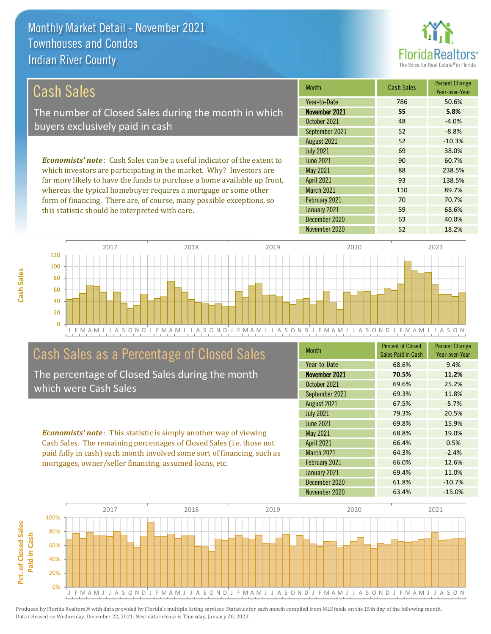this statistic should be interpreted with care.



Year-over-Year

59 68.6%

70 70.7%

#### March 2021 110 110 89.7% *Economists' note* : Cash Sales can be a useful indicator of the extent to which investors are participating in the market. Why? Investors are far more likely to have the funds to purchase a home available up front, whereas the typical homebuyer requires a mortgage or some other 52 -10.3% July 2021 **69 38.0%** April 2021 **93** 138.5% June 2021 **90 90 60.7%** May 2021 88 238.5% August 2021 Month Cash Sales Percent Change November 2021 **55 5.8%** October 2021 **48** -4.0% September 2021 52 52 58% Year-to-Date 786 50.6% Cash Sales The number of Closed Sales during the month in which buyers exclusively paid in cash

J F M A M J J A S O N D J F M A M J J A S O N D J F M A M J J A S O N D J F M A M J J A S O N D J F M A M J J A S O N  $\Omega$ 20 40 60 80 100 120 2017 2018 2019 2020 2021

February 2021

January 2021

## Cash Sales as a Percentage of Closed Sales

form of financing. There are, of course, many possible exceptions, so

The percentage of Closed Sales during the month which were Cash Sales

*Economists' note* : This statistic is simply another way of viewing Cash Sales. The remaining percentages of Closed Sales (i.e. those not paid fully in cash) each month involved some sort of financing, such as mortgages, owner/seller financing, assumed loans, etc.

| <b>Month</b>      | <b>Percent of Closed</b><br>Sales Paid in Cash | <b>Percent Change</b><br>Year-over-Year |
|-------------------|------------------------------------------------|-----------------------------------------|
| Year-to-Date      | 68.6%                                          | 9.4%                                    |
| November 2021     | 70.5%                                          | 11.2%                                   |
| October 2021      | 69.6%                                          | 25.2%                                   |
| September 2021    | 69.3%                                          | 11.8%                                   |
| August 2021       | 67.5%                                          | $-5.7%$                                 |
| <b>July 2021</b>  | 79.3%                                          | 20.5%                                   |
| June 2021         | 69.8%                                          | 15.9%                                   |
| May 2021          | 68.8%                                          | 19.0%                                   |
| <b>April 2021</b> | 66.4%                                          | 0.5%                                    |
| <b>March 2021</b> | 64.3%                                          | $-2.4%$                                 |
| February 2021     | 66.0%                                          | 12.6%                                   |
| January 2021      | 69.4%                                          | 11.0%                                   |
| December 2020     | 61.8%                                          | $-10.7%$                                |
| November 2020     | 63.4%                                          | $-15.0%$                                |

December 2020 63 40.0%

November 2020 52 18.2%

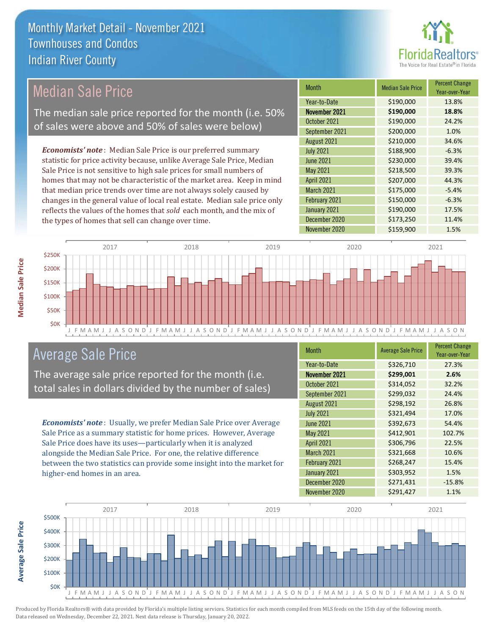

## Median Sale Price

The median sale price reported for the month (i.e. 50% of sales were above and 50% of sales were below)

*Economists' note* : Median Sale Price is our preferred summary statistic for price activity because, unlike Average Sale Price, Median Sale Price is not sensitive to high sale prices for small numbers of homes that may not be characteristic of the market area. Keep in mind that median price trends over time are not always solely caused by changes in the general value of local real estate. Median sale price only reflects the values of the homes that *sold* each month, and the mix of the types of homes that sell can change over time.

| <b>Month</b>      | <b>Median Sale Price</b> | <b>Percent Change</b><br>Year-over-Year |
|-------------------|--------------------------|-----------------------------------------|
| Year-to-Date      | \$190,000                | 13.8%                                   |
| November 2021     | \$190,000                | 18.8%                                   |
| October 2021      | \$190,000                | 24.2%                                   |
| September 2021    | \$200,000                | 1.0%                                    |
| August 2021       | \$210,000                | 34.6%                                   |
| <b>July 2021</b>  | \$188,900                | $-6.3%$                                 |
| <b>June 2021</b>  | \$230,000                | 39.4%                                   |
| May 2021          | \$218,500                | 39.3%                                   |
| <b>April 2021</b> | \$207,000                | 44.3%                                   |
| March 2021        | \$175,000                | $-5.4%$                                 |
| February 2021     | \$150,000                | $-6.3%$                                 |
| January 2021      | \$190,000                | 17.5%                                   |
| December 2020     | \$173,250                | 11.4%                                   |
| November 2020     | \$159,900                | 1.5%                                    |



## Average Sale Price

The average sale price reported for the month (i.e. total sales in dollars divided by the number of sales)

*Economists' note* : Usually, we prefer Median Sale Price over Average Sale Price as a summary statistic for home prices. However, Average Sale Price does have its uses—particularly when it is analyzed alongside the Median Sale Price. For one, the relative difference between the two statistics can provide some insight into the market for higher-end homes in an area.

| <b>Month</b>      | <b>Average Sale Price</b> | <b>Percent Change</b><br>Year-over-Year |
|-------------------|---------------------------|-----------------------------------------|
| Year-to-Date      | \$326,710                 | 27.3%                                   |
| November 2021     | \$299,001                 | 2.6%                                    |
| October 2021      | \$314,052                 | 32.2%                                   |
| September 2021    | \$299,032                 | 24.4%                                   |
| August 2021       | \$298,192                 | 26.8%                                   |
| <b>July 2021</b>  | \$321,494                 | 17.0%                                   |
| <b>June 2021</b>  | \$392,673                 | 54.4%                                   |
| May 2021          | \$412,901                 | 102.7%                                  |
| <b>April 2021</b> | \$306,796                 | 22.5%                                   |
| <b>March 2021</b> | \$321,668                 | 10.6%                                   |
| February 2021     | \$268,247                 | 15.4%                                   |
| January 2021      | \$303,952                 | 1.5%                                    |
| December 2020     | \$271,431                 | $-15.8%$                                |
| November 2020     | \$291,427                 | 1.1%                                    |



Produced by Florida Realtors® with data provided by Florida's multiple listing services. Statistics for each month compiled from MLS feeds on the 15th day of the following month. Data released on Wednesday, December 22, 2021. Next data release is Thursday, January 20, 2022.

**Average Sale Price**

**Average Sale Price**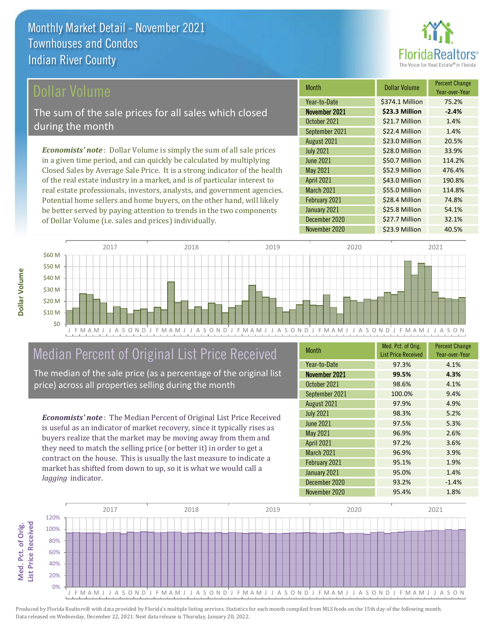

### ollar Volume

The sum of the sale prices for all sales which closed during the month

*Economists' note* : Dollar Volume is simply the sum of all sale prices in a given time period, and can quickly be calculated by multiplying Closed Sales by Average Sale Price. It is a strong indicator of the health of the real estate industry in a market, and is of particular interest to real estate professionals, investors, analysts, and government agencies. Potential home sellers and home buyers, on the other hand, will likely be better served by paying attention to trends in the two components of Dollar Volume (i.e. sales and prices) individually.

| <b>Month</b>      | <b>Dollar Volume</b> | <b>Percent Change</b><br>Year-over-Year |
|-------------------|----------------------|-----------------------------------------|
| Year-to-Date      | \$374.1 Million      | 75.2%                                   |
| November 2021     | \$23.3 Million       | $-2.4%$                                 |
| October 2021      | \$21.7 Million       | 1.4%                                    |
| September 2021    | \$22.4 Million       | 1.4%                                    |
| August 2021       | \$23.0 Million       | 20.5%                                   |
| <b>July 2021</b>  | \$28.0 Million       | 33.9%                                   |
| <b>June 2021</b>  | \$50.7 Million       | 114.2%                                  |
| May 2021          | \$52.9 Million       | 476.4%                                  |
| <b>April 2021</b> | \$43.0 Million       | 190.8%                                  |
| <b>March 2021</b> | \$55.0 Million       | 114.8%                                  |
| February 2021     | \$28.4 Million       | 74.8%                                   |
| January 2021      | \$25.8 Million       | 54.1%                                   |
| December 2020     | \$27.7 Million       | 32.1%                                   |
| November 2020     | \$23.9 Million       | 40.5%                                   |



## Median Percent of Original List Price Received

The median of the sale price (as a percentage of the original list price) across all properties selling during the month

*Economists' note* : The Median Percent of Original List Price Received is useful as an indicator of market recovery, since it typically rises as buyers realize that the market may be moving away from them and they need to match the selling price (or better it) in order to get a contract on the house. This is usually the last measure to indicate a market has shifted from down to up, so it is what we would call a *lagging* indicator.

| <b>Month</b>      | Med. Pct. of Orig.<br><b>List Price Received</b> | <b>Percent Change</b><br>Year-over-Year |
|-------------------|--------------------------------------------------|-----------------------------------------|
| Year-to-Date      | 97.3%                                            | 4.1%                                    |
| November 2021     | 99.5%                                            | 4.3%                                    |
| October 2021      | 98.6%                                            | 4.1%                                    |
| September 2021    | 100.0%                                           | 9.4%                                    |
| August 2021       | 97.9%                                            | 4.9%                                    |
| <b>July 2021</b>  | 98.3%                                            | 5.2%                                    |
| <b>June 2021</b>  | 97.5%                                            | 5.3%                                    |
| May 2021          | 96.9%                                            | 2.6%                                    |
| <b>April 2021</b> | 97.2%                                            | 3.6%                                    |
| <b>March 2021</b> | 96.9%                                            | 3.9%                                    |
| February 2021     | 95.1%                                            | 1.9%                                    |
| January 2021      | 95.0%                                            | 1.4%                                    |
| December 2020     | 93.2%                                            | $-1.4%$                                 |
| November 2020     | 95.4%                                            | 1.8%                                    |

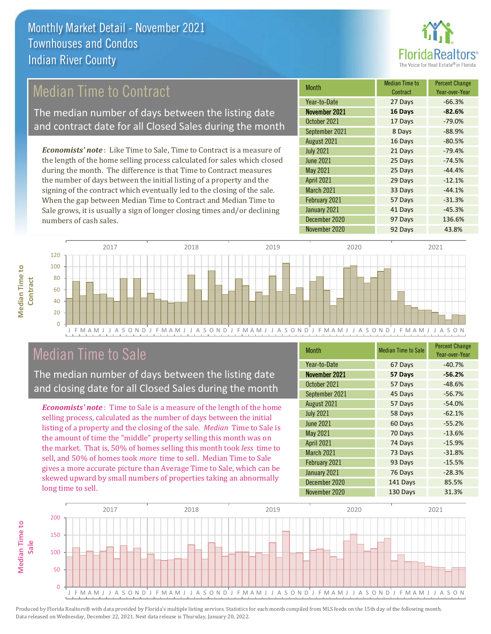

## Median Time to Contract

The median number of days between the listing date and contract date for all Closed Sales during the month

*Economists' note* : Like Time to Sale, Time to Contract is a measure of the length of the home selling process calculated for sales which closed during the month. The difference is that Time to Contract measures the number of days between the initial listing of a property and the signing of the contract which eventually led to the closing of the sale. When the gap between Median Time to Contract and Median Time to Sale grows, it is usually a sign of longer closing times and/or declining numbers of cash sales.

| <b>Month</b>      | <b>Median Time to</b><br>Contract | <b>Percent Change</b><br>Year-over-Year |
|-------------------|-----------------------------------|-----------------------------------------|
| Year-to-Date      | 27 Days                           | $-66.3%$                                |
| November 2021     | 16 Days                           | $-82.6%$                                |
| October 2021      | 17 Days                           | $-79.0%$                                |
| September 2021    | 8 Days                            | $-88.9%$                                |
| August 2021       | 16 Days                           | $-80.5%$                                |
| <b>July 2021</b>  | 21 Days                           | $-79.4%$                                |
| <b>June 2021</b>  | 25 Days                           | $-74.5%$                                |
| May 2021          | 25 Days                           | $-44.4%$                                |
| <b>April 2021</b> | 29 Days                           | $-12.1%$                                |
| <b>March 2021</b> | 33 Days                           | $-44.1%$                                |
| February 2021     | 57 Days                           | $-31.3%$                                |
| January 2021      | 41 Days                           | $-45.3%$                                |
| December 2020     | 97 Days                           | 136.6%                                  |
| November 2020     | 92 Days                           | 43.8%                                   |



## Median Time to Sale

**Median Time to Contract**

**Median Time to** 

The median number of days between the listing date and closing date for all Closed Sales during the month

*Economists' note* : Time to Sale is a measure of the length of the home selling process, calculated as the number of days between the initial listing of a property and the closing of the sale. *Median* Time to Sale is the amount of time the "middle" property selling this month was on the market. That is, 50% of homes selling this month took *less* time to sell, and 50% of homes took *more* time to sell. Median Time to Sale gives a more accurate picture than Average Time to Sale, which can be skewed upward by small numbers of properties taking an abnormally long time to sell.

| <b>Month</b>      | <b>Median Time to Sale</b> | <b>Percent Change</b><br>Year-over-Year |
|-------------------|----------------------------|-----------------------------------------|
| Year-to-Date      | 67 Days                    | $-40.7%$                                |
| November 2021     | 57 Days                    | $-56.2%$                                |
| October 2021      | 57 Days                    | $-48.6%$                                |
| September 2021    | 45 Days                    | $-56.7%$                                |
| August 2021       | 57 Days                    | $-54.0%$                                |
| <b>July 2021</b>  | 58 Days                    | $-62.1%$                                |
| <b>June 2021</b>  | 60 Days                    | $-55.2%$                                |
| May 2021          | 70 Days                    | $-13.6%$                                |
| <b>April 2021</b> | 74 Days                    | $-15.9%$                                |
| March 2021        | 73 Days                    | $-31.8%$                                |
| February 2021     | 93 Days                    | $-15.5%$                                |
| January 2021      | 76 Days                    | $-28.3%$                                |
| December 2020     | 141 Days                   | 85.5%                                   |
| November 2020     | 130 Days                   | 31.3%                                   |

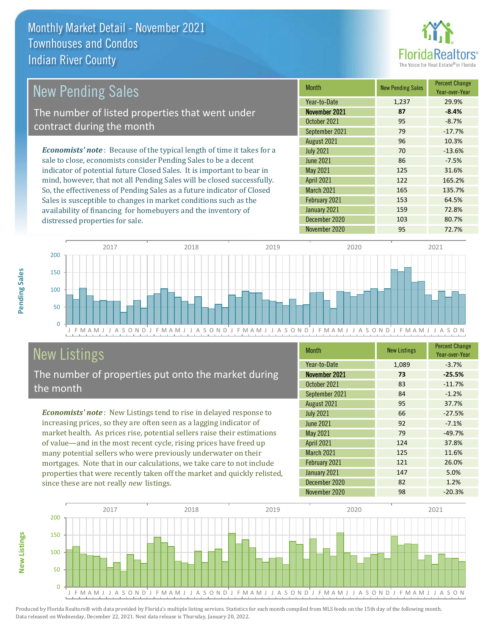

#### March 2021 165 135.7% February 2021 153 64.5% May 2021 125 125 31.6% August 2021 **96** 10.3% July 2021 **70** -13.6% -8.7% September 2021 79 79 -17.7% June 2021 86 -7.5% *Economists' note* : Because of the typical length of time it takes for a sale to close, economists consider Pending Sales to be a decent indicator of potential future Closed Sales. It is important to bear in mind, however, that not all Pending Sales will be closed successfully. So, the effectiveness of Pending Sales as a future indicator of Closed Sales is susceptible to changes in market conditions such as the Month New Pending Sales Percent Change Year-over-Year November 2021 **87 -8.4%** Year-to-Date 1,237 29.9% April 2021 122 165.2% October 2021 95 New Pending Sales The number of listed properties that went under contract during the month



# **New Listings**

distressed properties for sale.

The number of properties put onto the market during the month

availability of financing for homebuyers and the inventory of

*Economists' note* : New Listings tend to rise in delayed response to increasing prices, so they are often seen as a lagging indicator of market health. As prices rise, potential sellers raise their estimations of value—and in the most recent cycle, rising prices have freed up many potential sellers who were previously underwater on their mortgages. Note that in our calculations, we take care to not include properties that were recently taken off the market and quickly relisted, since these are not really *new* listings.

| <b>Month</b>      | <b>New Listings</b> | <b>Percent Change</b><br>Year-over-Year |
|-------------------|---------------------|-----------------------------------------|
| Year-to-Date      | 1,089               | $-3.7%$                                 |
| November 2021     | 73                  | $-25.5%$                                |
| October 2021      | 83                  | $-11.7%$                                |
| September 2021    | 84                  | $-1.2%$                                 |
| August 2021       | 95                  | 37.7%                                   |
| <b>July 2021</b>  | 66                  | $-27.5%$                                |
| <b>June 2021</b>  | 92                  | $-7.1%$                                 |
| May 2021          | 79                  | $-49.7%$                                |
| April 2021        | 124                 | 37.8%                                   |
| <b>March 2021</b> | 125                 | 11.6%                                   |
| February 2021     | 121                 | 26.0%                                   |
| January 2021      | 147                 | 5.0%                                    |
| December 2020     | 82                  | 1.2%                                    |
| November 2020     | 98                  | $-20.3%$                                |

January 2021 159 159 72.8% December 2020 103 103 80.7%



Produced by Florida Realtors® with data provided by Florida's multiple listing services. Statistics for each month compiled from MLS feeds on the 15th day of the following month. Data released on Wednesday, December 22, 2021. Next data release is Thursday, January 20, 2022.

**New Listings**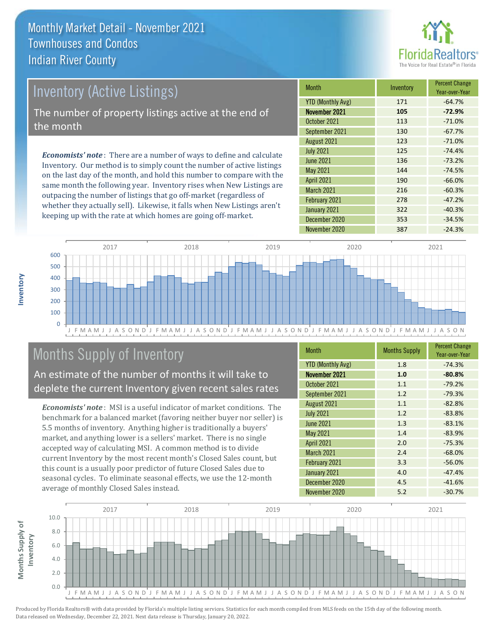

## Inventory (Active Listings) The number of property listings active at the end of the month

*Economists' note* : There are a number of ways to define and calculate Inventory. Our method is to simply count the number of active listings on the last day of the month, and hold this number to compare with the same month the following year. Inventory rises when New Listings are outpacing the number of listings that go off-market (regardless of whether they actually sell). Likewise, it falls when New Listings aren't keeping up with the rate at which homes are going off-market.

| <b>Month</b>             | Inventory | <b>Percent Change</b><br>Year-over-Year |
|--------------------------|-----------|-----------------------------------------|
| <b>YTD (Monthly Avg)</b> | 171       | $-64.7%$                                |
| November 2021            | 105       | $-72.9%$                                |
| October 2021             | 113       | $-71.0%$                                |
| September 2021           | 130       | $-67.7%$                                |
| August 2021              | 123       | $-71.0%$                                |
| <b>July 2021</b>         | 125       | $-74.4%$                                |
| <b>June 2021</b>         | 136       | $-73.2%$                                |
| May 2021                 | 144       | $-74.5%$                                |
| <b>April 2021</b>        | 190       | $-66.0%$                                |
| <b>March 2021</b>        | 216       | $-60.3%$                                |
| February 2021            | 278       | $-47.2%$                                |
| January 2021             | 322       | $-40.3%$                                |
| December 2020            | 353       | $-34.5%$                                |
| November 2020            | 387       | $-24.3%$                                |



## Months Supply of Inventory

An estimate of the number of months it will take to deplete the current Inventory given recent sales rates

*Economists' note* : MSI is a useful indicator of market conditions. The benchmark for a balanced market (favoring neither buyer nor seller) is 5.5 months of inventory. Anything higher is traditionally a buyers' market, and anything lower is a sellers' market. There is no single accepted way of calculating MSI. A common method is to divide current Inventory by the most recent month's Closed Sales count, but this count is a usually poor predictor of future Closed Sales due to seasonal cycles. To eliminate seasonal effects, we use the 12-month average of monthly Closed Sales instead.

| Month                    | <b>Months Supply</b> | <b>Percent Change</b><br>Year-over-Year |
|--------------------------|----------------------|-----------------------------------------|
| <b>YTD (Monthly Avg)</b> | 1.8                  | $-74.3%$                                |
| November 2021            | 1.0                  | $-80.8%$                                |
| October 2021             | 1.1                  | $-79.2%$                                |
| September 2021           | 1.2                  | $-79.3%$                                |
| August 2021              | 1.1                  | $-82.8%$                                |
| <b>July 2021</b>         | 1.2                  | $-83.8%$                                |
| <b>June 2021</b>         | 1.3                  | $-83.1%$                                |
| May 2021                 | 1.4                  | $-83.9%$                                |
| <b>April 2021</b>        | 2.0                  | $-75.3%$                                |
| <b>March 2021</b>        | 2.4                  | $-68.0%$                                |
| February 2021            | 3.3                  | $-56.0%$                                |
| January 2021             | 4.0                  | $-47.4%$                                |
| December 2020            | 4.5                  | $-41.6%$                                |
| November 2020            | 5.2                  | $-30.7%$                                |

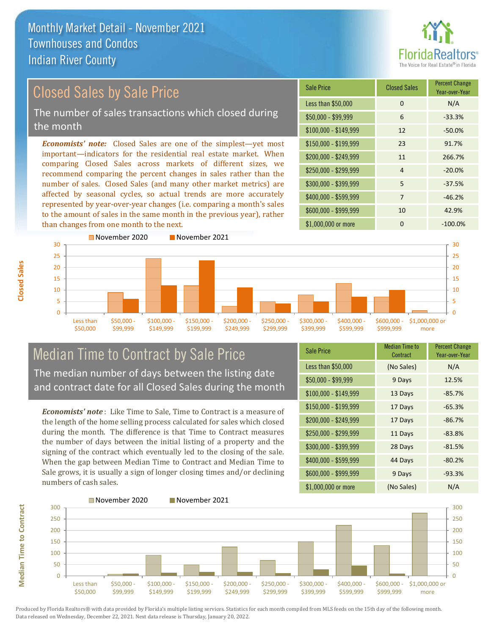

Year-over-Year

#### \$100,000 - \$149,999 12 -50.0% Sale Price Closed Sales Percent Change Less than  $$50,000$  0 0 N/A  $$50,000 - $99,999$  6 -33.3% \$150,000 - \$199,999 23 91.7% \$200,000 - \$249,999 11 266.7% *Economists' note:* Closed Sales are one of the simplest—yet most important—indicators for the residential real estate market. When comparing Closed Sales across markets of different sizes, we recommend comparing the percent changes in sales rather than the number of sales. Closed Sales (and many other market metrics) are  $$250.000 - $299.999$  4 -20.0% \$300,000 - \$399,999 5 -37.5% Closed Sales by Sale Price The number of sales transactions which closed during the month

affected by seasonal cycles, so actual trends are more accurately represented by year-over-year changes (i.e. comparing a month's sales to the amount of sales in the same month in the previous year), rather than changes from one month to the next.



### Median Time to Contract by Sale Price The median number of days between the listing date and contract date for all Closed Sales during the month

*Economists' note* : Like Time to Sale, Time to Contract is a measure of the length of the home selling process calculated for sales which closed during the month. The difference is that Time to Contract measures the number of days between the initial listing of a property and the signing of the contract which eventually led to the closing of the sale. When the gap between Median Time to Contract and Median Time to Sale grows, it is usually a sign of longer closing times and/or declining numbers of cash sales.

| <b>Sale Price</b>     | Median Time to<br>Contract | <b>Percent Change</b><br>Year-over-Year |
|-----------------------|----------------------------|-----------------------------------------|
| Less than \$50,000    | (No Sales)                 | N/A                                     |
| $$50,000 - $99,999$   | 9 Days                     | 12.5%                                   |
| $$100,000 - $149,999$ | 13 Days                    | $-85.7%$                                |
| \$150,000 - \$199,999 | 17 Days                    | $-65.3%$                                |
| \$200,000 - \$249,999 | 17 Days                    | $-86.7%$                                |
| \$250,000 - \$299,999 | 11 Days                    | $-83.8%$                                |
| \$300,000 - \$399,999 | 28 Days                    | $-81.5%$                                |
| \$400,000 - \$599,999 | 44 Days                    | $-80.2%$                                |
| \$600,000 - \$999,999 | 9 Days                     | $-93.3%$                                |
| \$1,000,000 or more   | (No Sales)                 | N/A                                     |

 $$400,000 - $599,999$  7 -46.2% \$600,000 - \$999,999 10 42.9%

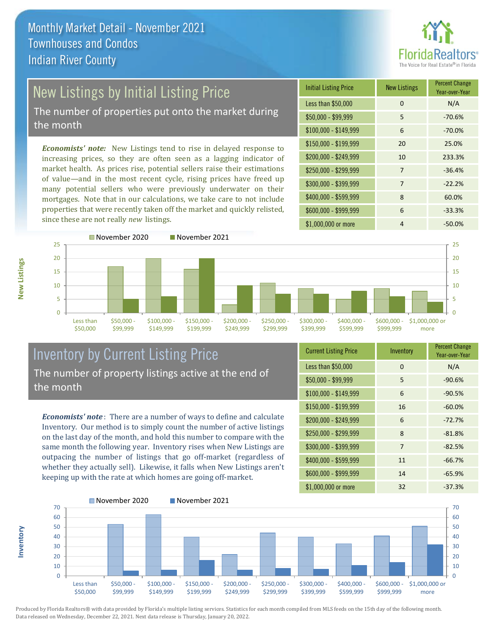

# New Listings by Initial Listing Price

The number of properties put onto the market during the month

*Economists' note:* New Listings tend to rise in delayed response to increasing prices, so they are often seen as a lagging indicator of market health. As prices rise, potential sellers raise their estimations of value—and in the most recent cycle, rising prices have freed up many potential sellers who were previously underwater on their mortgages. Note that in our calculations, we take care to not include properties that were recently taken off the market and quickly relisted, since these are not really *new* listings.





## Inventory by Current Listing Price The number of property listings active at the end of the month

*Economists' note* : There are a number of ways to define and calculate Inventory. Our method is to simply count the number of active listings on the last day of the month, and hold this number to compare with the same month the following year. Inventory rises when New Listings are outpacing the number of listings that go off-market (regardless of whether they actually sell). Likewise, it falls when New Listings aren't keeping up with the rate at which homes are going off-market.

**Inventory**

**New Listings**

| <b>Current Listing Price</b> | Inventory | <b>Percent Change</b><br>Year-over-Year |
|------------------------------|-----------|-----------------------------------------|
| Less than \$50,000           | $\Omega$  | N/A                                     |
| $$50,000 - $99,999$          | 5         | $-90.6%$                                |
| $$100,000 - $149,999$        | 6         | $-90.5%$                                |
| $$150,000 - $199,999$        | 16        | $-60.0%$                                |
| \$200,000 - \$249,999        | 6         | $-72.7%$                                |
| \$250,000 - \$299,999        | 8         | $-81.8%$                                |
| \$300,000 - \$399,999        | 7         | $-82.5%$                                |
| \$400,000 - \$599,999        | 11        | $-66.7%$                                |
| \$600,000 - \$999,999        | 14        | $-65.9%$                                |
| \$1,000,000 or more          | 32        | $-37.3%$                                |